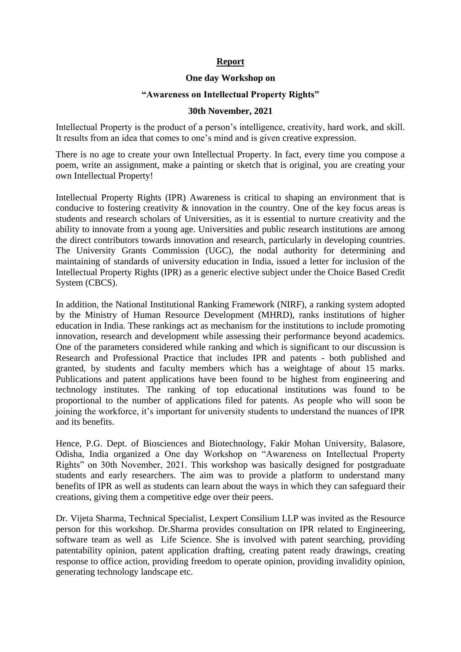## **Report**

## **One day Workshop on**

## **"Awareness on Intellectual Property Rights"**

## **30th November, 2021**

Intellectual Property is the product of a person's intelligence, creativity, hard work, and skill. It results from an idea that comes to one's mind and is given creative expression.

There is no age to create your own Intellectual Property. In fact, every time you compose a poem, write an assignment, make a painting or sketch that is original, you are creating your own Intellectual Property!

Intellectual Property Rights (IPR) Awareness is critical to shaping an environment that is conducive to fostering creativity & innovation in the country. One of the key focus areas is students and research scholars of Universities, as it is essential to nurture creativity and the ability to innovate from a young age. Universities and public research institutions are among the direct contributors towards innovation and research, particularly in developing countries. The University Grants Commission (UGC), the nodal authority for determining and maintaining of standards of university education in India, issued a letter for inclusion of the Intellectual Property Rights (IPR) as a generic elective subject under the Choice Based Credit System (CBCS).

In addition, the National Institutional Ranking Framework (NIRF), a ranking system adopted by the Ministry of Human Resource Development (MHRD), ranks institutions of higher education in India. These rankings act as mechanism for the institutions to include promoting innovation, research and development while assessing their performance beyond academics. One of the parameters considered while ranking and which is significant to our discussion is Research and Professional Practice that includes IPR and patents - both published and granted, by students and faculty members which has a weightage of about 15 marks. Publications and patent applications have been found to be highest from engineering and technology institutes. The ranking of top educational institutions was found to be proportional to the number of applications filed for patents. As people who will soon be joining the workforce, it's important for university students to understand the nuances of IPR and its benefits.

Hence, P.G. Dept. of Biosciences and Biotechnology, Fakir Mohan University, Balasore, Odisha, India organized a One day Workshop on "Awareness on Intellectual Property Rights" on 30th November, 2021. This workshop was basically designed for postgraduate students and early researchers. The aim was to provide a platform to understand many benefits of IPR as well as students can learn about the ways in which they can safeguard their creations, giving them a competitive edge over their peers.

Dr. Vijeta Sharma, Technical Specialist, Lexpert Consilium LLP was invited as the Resource person for this workshop. Dr.Sharma provides consultation on IPR related to Engineering, software team as well as Life Science. She is involved with patent searching, providing patentability opinion, patent application drafting, creating patent ready drawings, creating response to office action, providing freedom to operate opinion, providing invalidity opinion, generating technology landscape etc.